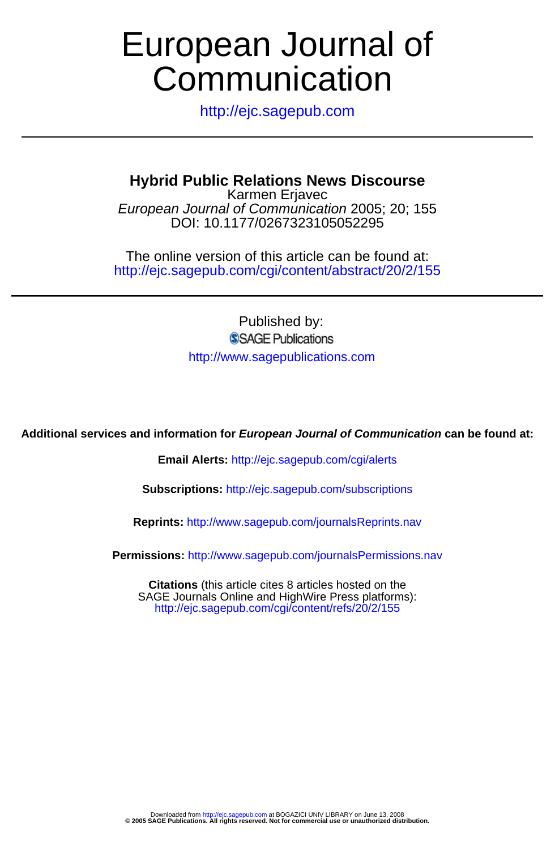# **Communication** European Journal of

http://ejc.sagepub.com

# **Hybrid Public Relations News Discourse**

DOI: 10.1177/0267323105052295 European Journal of Communication 2005; 20; 155 Karmen Erjavec

http://ejc.sagepub.com/cgi/content/abstract/20/2/155 The online version of this article can be found at:

> Published by: SSAGE Publications http://www.sagepublications.com

**Additional services and information for European Journal of Communication can be found at:**

**Email Alerts:** <http://ejc.sagepub.com/cgi/alerts>

**Subscriptions:** <http://ejc.sagepub.com/subscriptions>

**Reprints:** <http://www.sagepub.com/journalsReprints.nav>

**Permissions:** <http://www.sagepub.com/journalsPermissions.nav>

<http://ejc.sagepub.com/cgi/content/refs/20/2/155> SAGE Journals Online and HighWire Press platforms): **Citations** (this article cites 8 articles hosted on the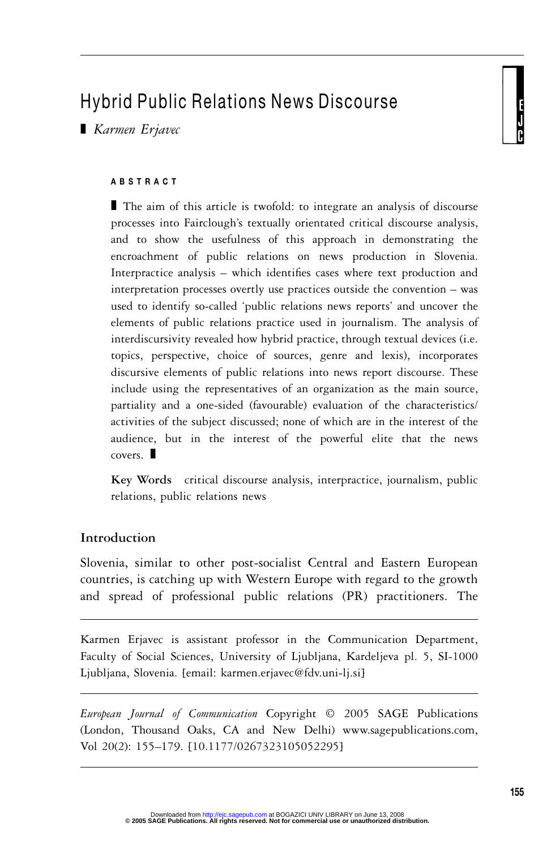# Hybrid Public Relations News Discourse

**Karmen Erjavec** 

#### **ABSTRACT**

The aim of this article is twofold: to integrate an analysis of discourse processes into Fairclough's textually orientated critical discourse analysis, and to show the usefulness of this approach in demonstrating the encroachment of public relations on news production in Slovenia. Interpractice analysis – which identifies cases where text production and interpretation processes overtly use practices outside the convention – was used to identify so-called 'public relations news reports' and uncover the elements of public relations practice used in journalism. The analysis of interdiscursivity revealed how hybrid practice, through textual devices (i.e. topics, perspective, choice of sources, genre and lexis), incorporates discursive elements of public relations into news report discourse. These include using the representatives of an organization as the main source, partiality and a one-sided (favourable) evaluation of the characteristics/ activities of the subject discussed; none of which are in the interest of the audience, but in the interest of the powerful elite that the news  $covers.$ 

**Key Words** critical discourse analysis, interpractice, journalism, public relations, public relations news

# **Introduction**

Slovenia, similar to other post-socialist Central and Eastern European countries, is catching up with Western Europe with regard to the growth and spread of professional public relations (PR) practitioners. The

Karmen Erjavec is assistant professor in the Communication Department, Faculty of Social Sciences, University of Ljubljana, Kardeljeva pl. 5, SI-1000 Ljubljana, Slovenia. [email: karmen.erjavec@fdv.uni-lj.si]

*European Journal of Communication* Copyright © 2005 SAGE Publications (London, Thousand Oaks, CA and New Delhi) www.sagepublications.com, Vol 20(2): 155–179. [10.1177/0267323105052295]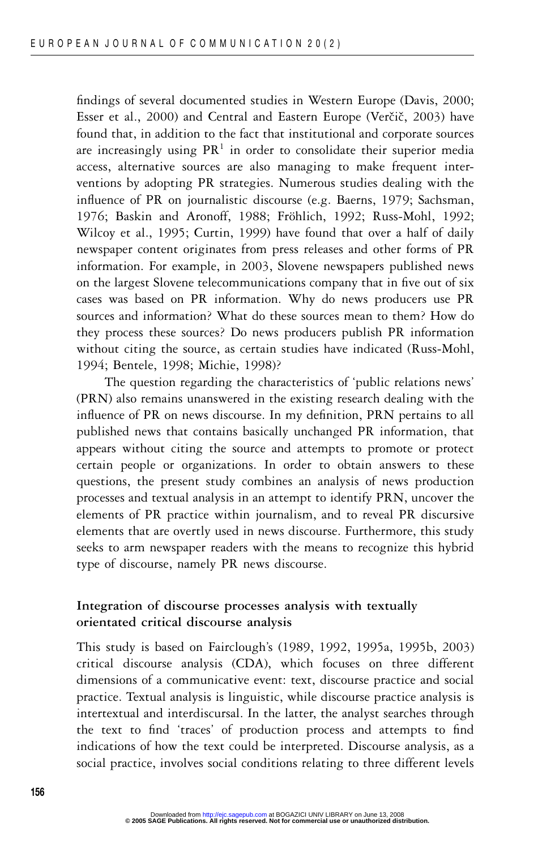findings of several documented studies in Western Europe (Davis, 2000; Esser et al., 2000) and Central and Eastern Europe (Verčič, 2003) have found that, in addition to the fact that institutional and corporate sources are increasingly using  $PR<sup>1</sup>$  in order to consolidate their superior media access, alternative sources are also managing to make frequent interventions by adopting PR strategies. Numerous studies dealing with the influence of PR on journalistic discourse (e.g. Baerns, 1979; Sachsman, 1976; Baskin and Aronoff, 1988; Fröhlich, 1992; Russ-Mohl, 1992; Wilcoy et al., 1995; Curtin, 1999) have found that over a half of daily newspaper content originates from press releases and other forms of PR information. For example, in 2003, Slovene newspapers published news on the largest Slovene telecommunications company that in five out of six cases was based on PR information. Why do news producers use PR sources and information? What do these sources mean to them? How do they process these sources? Do news producers publish PR information without citing the source, as certain studies have indicated (Russ-Mohl, 1994; Bentele, 1998; Michie, 1998)?

The question regarding the characteristics of 'public relations news' (PRN) also remains unanswered in the existing research dealing with the influence of PR on news discourse. In my definition, PRN pertains to all published news that contains basically unchanged PR information, that appears without citing the source and attempts to promote or protect certain people or organizations. In order to obtain answers to these questions, the present study combines an analysis of news production processes and textual analysis in an attempt to identify PRN, uncover the elements of PR practice within journalism, and to reveal PR discursive elements that are overtly used in news discourse. Furthermore, this study seeks to arm newspaper readers with the means to recognize this hybrid type of discourse, namely PR news discourse.

# **Integration of discourse processes analysis with textually orientated critical discourse analysis**

This study is based on Fairclough's (1989, 1992, 1995a, 1995b, 2003) critical discourse analysis (CDA), which focuses on three different dimensions of a communicative event: text, discourse practice and social practice. Textual analysis is linguistic, while discourse practice analysis is intertextual and interdiscursal. In the latter, the analyst searches through the text to find 'traces' of production process and attempts to find indications of how the text could be interpreted. Discourse analysis, as a social practice, involves social conditions relating to three different levels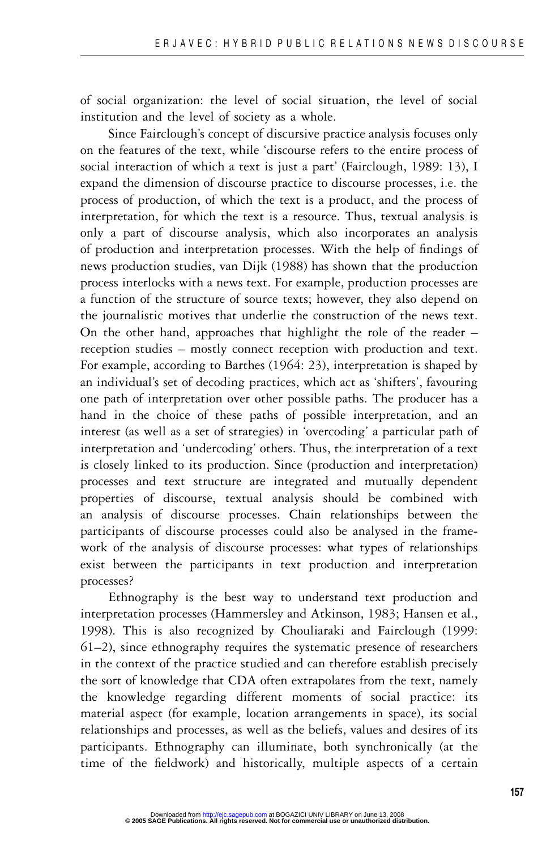of social organization: the level of social situation, the level of social institution and the level of society as a whole.

Since Fairclough's concept of discursive practice analysis focuses only on the features of the text, while 'discourse refers to the entire process of social interaction of which a text is just a part' (Fairclough, 1989: 13), I expand the dimension of discourse practice to discourse processes, i.e. the process of production, of which the text is a product, and the process of interpretation, for which the text is a resource. Thus, textual analysis is only a part of discourse analysis, which also incorporates an analysis of production and interpretation processes. With the help of findings of news production studies, van Dijk (1988) has shown that the production process interlocks with a news text. For example, production processes are a function of the structure of source texts; however, they also depend on the journalistic motives that underlie the construction of the news text. On the other hand, approaches that highlight the role of the reader – reception studies – mostly connect reception with production and text. For example, according to Barthes (1964: 23), interpretation is shaped by an individual's set of decoding practices, which act as 'shifters', favouring one path of interpretation over other possible paths. The producer has a hand in the choice of these paths of possible interpretation, and an interest (as well as a set of strategies) in 'overcoding' a particular path of interpretation and 'undercoding' others. Thus, the interpretation of a text is closely linked to its production. Since (production and interpretation) processes and text structure are integrated and mutually dependent properties of discourse, textual analysis should be combined with an analysis of discourse processes. Chain relationships between the participants of discourse processes could also be analysed in the framework of the analysis of discourse processes: what types of relationships exist between the participants in text production and interpretation processes?

Ethnography is the best way to understand text production and interpretation processes (Hammersley and Atkinson, 1983; Hansen et al., 1998). This is also recognized by Chouliaraki and Fairclough (1999: 61–2), since ethnography requires the systematic presence of researchers in the context of the practice studied and can therefore establish precisely the sort of knowledge that CDA often extrapolates from the text, namely the knowledge regarding different moments of social practice: its material aspect (for example, location arrangements in space), its social relationships and processes, as well as the beliefs, values and desires of its participants. Ethnography can illuminate, both synchronically (at the time of the fieldwork) and historically, multiple aspects of a certain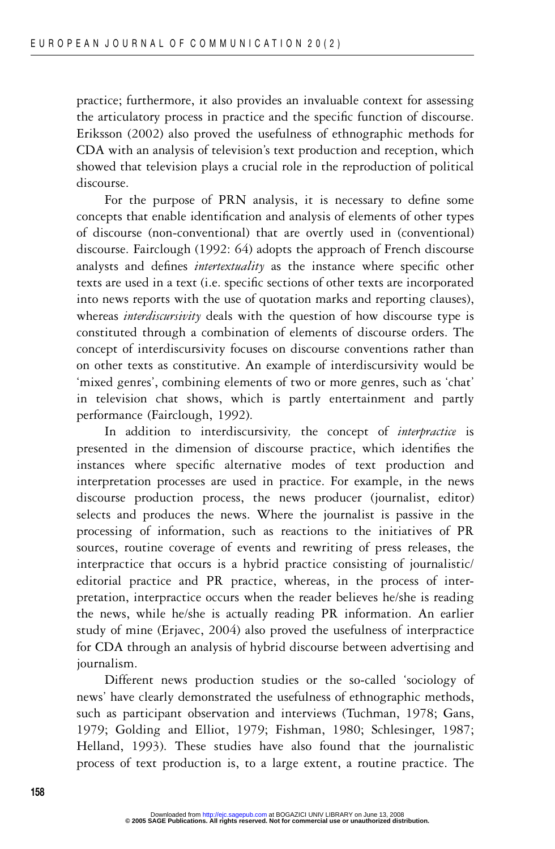practice; furthermore, it also provides an invaluable context for assessing the articulatory process in practice and the specific function of discourse. Eriksson (2002) also proved the usefulness of ethnographic methods for CDA with an analysis of television's text production and reception, which showed that television plays a crucial role in the reproduction of political discourse.

For the purpose of PRN analysis, it is necessary to define some concepts that enable identification and analysis of elements of other types of discourse (non-conventional) that are overtly used in (conventional) discourse. Fairclough (1992: 64) adopts the approach of French discourse analysts and defines *intertextuality* as the instance where specific other texts are used in a text (i.e. specific sections of other texts are incorporated into news reports with the use of quotation marks and reporting clauses), whereas *interdiscursivity* deals with the question of how discourse type is constituted through a combination of elements of discourse orders. The concept of interdiscursivity focuses on discourse conventions rather than on other texts as constitutive. An example of interdiscursivity would be 'mixed genres', combining elements of two or more genres, such as 'chat' in television chat shows, which is partly entertainment and partly performance (Fairclough, 1992).

In addition to interdiscursivity*,* the concept of *interpractice* is presented in the dimension of discourse practice, which identifies the instances where specific alternative modes of text production and interpretation processes are used in practice. For example, in the news discourse production process, the news producer (journalist, editor) selects and produces the news. Where the journalist is passive in the processing of information, such as reactions to the initiatives of PR sources, routine coverage of events and rewriting of press releases, the interpractice that occurs is a hybrid practice consisting of journalistic/ editorial practice and PR practice, whereas, in the process of interpretation, interpractice occurs when the reader believes he/she is reading the news, while he/she is actually reading PR information. An earlier study of mine (Erjavec, 2004) also proved the usefulness of interpractice for CDA through an analysis of hybrid discourse between advertising and journalism.

Different news production studies or the so-called 'sociology of news' have clearly demonstrated the usefulness of ethnographic methods, such as participant observation and interviews (Tuchman, 1978; Gans, 1979; Golding and Elliot, 1979; Fishman, 1980; Schlesinger, 1987; Helland, 1993). These studies have also found that the journalistic process of text production is, to a large extent, a routine practice. The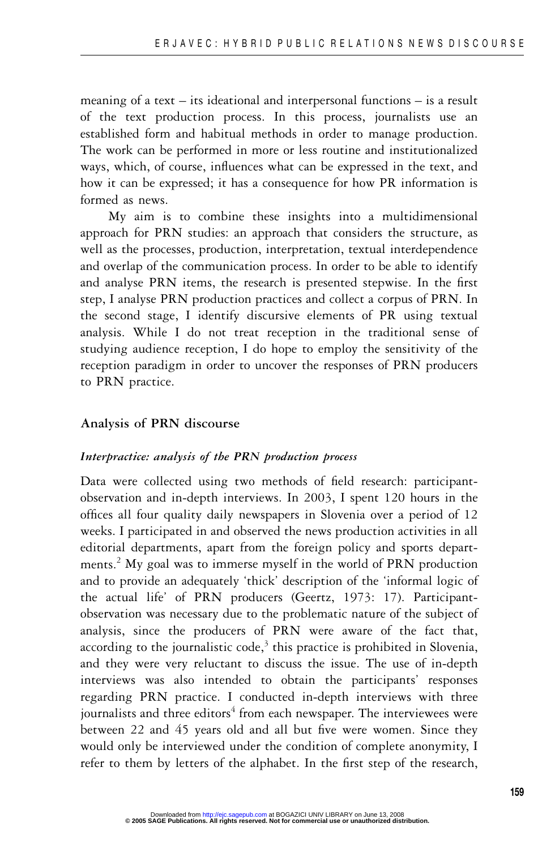meaning of a text – its ideational and interpersonal functions – is a result of the text production process. In this process, journalists use an established form and habitual methods in order to manage production. The work can be performed in more or less routine and institutionalized ways, which, of course, influences what can be expressed in the text, and how it can be expressed; it has a consequence for how PR information is formed as news.

My aim is to combine these insights into a multidimensional approach for PRN studies: an approach that considers the structure, as well as the processes, production, interpretation, textual interdependence and overlap of the communication process. In order to be able to identify and analyse PRN items, the research is presented stepwise. In the first step, I analyse PRN production practices and collect a corpus of PRN. In the second stage, I identify discursive elements of PR using textual analysis. While I do not treat reception in the traditional sense of studying audience reception, I do hope to employ the sensitivity of the reception paradigm in order to uncover the responses of PRN producers to PRN practice.

#### **Analysis of PRN discourse**

#### *Interpractice: analysis of the PRN production process*

Data were collected using two methods of field research: participantobservation and in-depth interviews. In 2003, I spent 120 hours in the offices all four quality daily newspapers in Slovenia over a period of 12 weeks. I participated in and observed the news production activities in all editorial departments, apart from the foreign policy and sports departments.<sup>2</sup> My goal was to immerse myself in the world of PRN production and to provide an adequately 'thick' description of the 'informal logic of the actual life' of PRN producers (Geertz, 1973: 17). Participantobservation was necessary due to the problematic nature of the subject of analysis, since the producers of PRN were aware of the fact that, according to the journalistic code, $3$  this practice is prohibited in Slovenia, and they were very reluctant to discuss the issue. The use of in-depth interviews was also intended to obtain the participants' responses regarding PRN practice. I conducted in-depth interviews with three journalists and three editors<sup>4</sup> from each newspaper. The interviewees were between 22 and 45 years old and all but five were women. Since they would only be interviewed under the condition of complete anonymity, I refer to them by letters of the alphabet. In the first step of the research,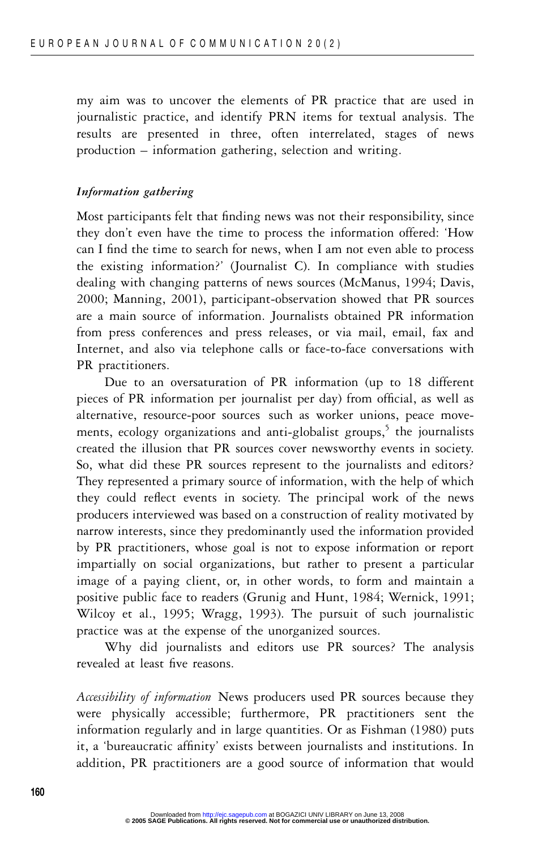my aim was to uncover the elements of PR practice that are used in journalistic practice, and identify PRN items for textual analysis. The results are presented in three, often interrelated, stages of news production – information gathering, selection and writing.

#### *Information gathering*

Most participants felt that finding news was not their responsibility, since they don't even have the time to process the information offered: 'How can I find the time to search for news, when I am not even able to process the existing information?' (Journalist C). In compliance with studies dealing with changing patterns of news sources (McManus, 1994; Davis, 2000; Manning, 2001), participant-observation showed that PR sources are a main source of information. Journalists obtained PR information from press conferences and press releases, or via mail, email, fax and Internet, and also via telephone calls or face-to-face conversations with PR practitioners.

Due to an oversaturation of PR information (up to 18 different pieces of PR information per journalist per day) from official, as well as alternative, resource-poor sources such as worker unions, peace movements, ecology organizations and anti-globalist groups,<sup>5</sup> the journalists created the illusion that PR sources cover newsworthy events in society. So, what did these PR sources represent to the journalists and editors? They represented a primary source of information, with the help of which they could reflect events in society. The principal work of the news producers interviewed was based on a construction of reality motivated by narrow interests, since they predominantly used the information provided by PR practitioners, whose goal is not to expose information or report impartially on social organizations, but rather to present a particular image of a paying client, or, in other words, to form and maintain a positive public face to readers (Grunig and Hunt, 1984; Wernick, 1991; Wilcoy et al., 1995; Wragg, 1993). The pursuit of such journalistic practice was at the expense of the unorganized sources.

Why did journalists and editors use PR sources? The analysis revealed at least five reasons.

*Accessibility of information* News producers used PR sources because they were physically accessible; furthermore, PR practitioners sent the information regularly and in large quantities. Or as Fishman (1980) puts it, a 'bureaucratic affinity' exists between journalists and institutions. In addition, PR practitioners are a good source of information that would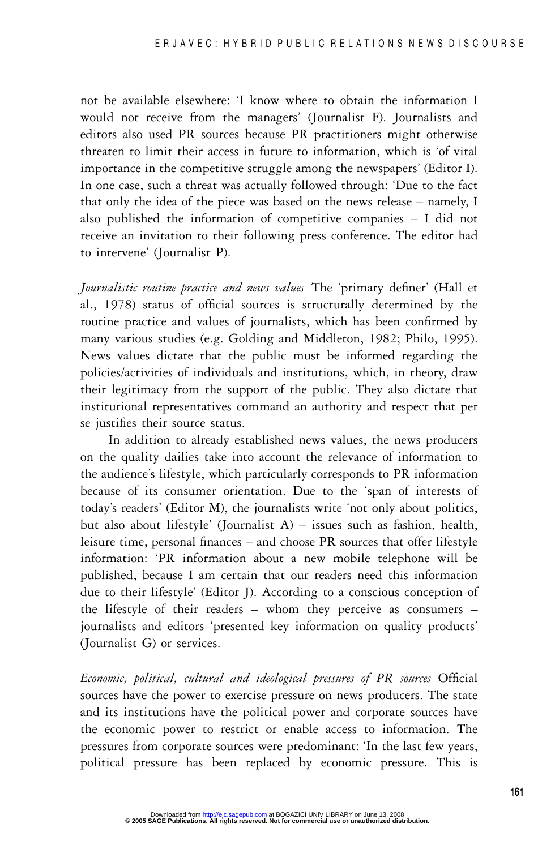not be available elsewhere: 'I know where to obtain the information I would not receive from the managers' (Journalist F). Journalists and editors also used PR sources because PR practitioners might otherwise threaten to limit their access in future to information, which is 'of vital importance in the competitive struggle among the newspapers' (Editor I). In one case, such a threat was actually followed through: 'Due to the fact that only the idea of the piece was based on the news release – namely, I also published the information of competitive companies – I did not receive an invitation to their following press conference. The editor had to intervene' (Journalist P).

*Journalistic routine practice and news values* The 'primary definer' (Hall et al., 1978) status of official sources is structurally determined by the routine practice and values of journalists, which has been confirmed by many various studies (e.g. Golding and Middleton, 1982; Philo, 1995). News values dictate that the public must be informed regarding the policies/activities of individuals and institutions, which, in theory, draw their legitimacy from the support of the public. They also dictate that institutional representatives command an authority and respect that per se justifies their source status.

In addition to already established news values, the news producers on the quality dailies take into account the relevance of information to the audience's lifestyle, which particularly corresponds to PR information because of its consumer orientation. Due to the 'span of interests of today's readers' (Editor M), the journalists write 'not only about politics, but also about lifestyle' (Journalist A) – issues such as fashion, health, leisure time, personal finances – and choose PR sources that offer lifestyle information: 'PR information about a new mobile telephone will be published, because I am certain that our readers need this information due to their lifestyle' (Editor J). According to a conscious conception of the lifestyle of their readers – whom they perceive as consumers – journalists and editors 'presented key information on quality products' (Journalist G) or services.

*Economic, political, cultural and ideological pressures of PR sources* Official sources have the power to exercise pressure on news producers. The state and its institutions have the political power and corporate sources have the economic power to restrict or enable access to information. The pressures from corporate sources were predominant: 'In the last few years, political pressure has been replaced by economic pressure. This is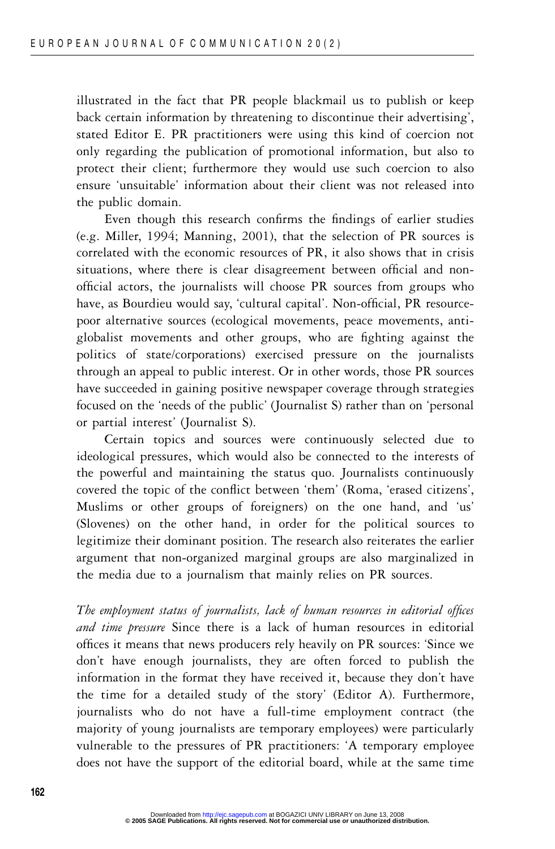illustrated in the fact that PR people blackmail us to publish or keep back certain information by threatening to discontinue their advertising', stated Editor E. PR practitioners were using this kind of coercion not only regarding the publication of promotional information, but also to protect their client; furthermore they would use such coercion to also ensure 'unsuitable' information about their client was not released into the public domain.

Even though this research confirms the findings of earlier studies (e.g. Miller, 1994; Manning, 2001), that the selection of PR sources is correlated with the economic resources of PR, it also shows that in crisis situations, where there is clear disagreement between official and nonofficial actors, the journalists will choose PR sources from groups who have, as Bourdieu would say, 'cultural capital'. Non-official, PR resourcepoor alternative sources (ecological movements, peace movements, antiglobalist movements and other groups, who are fighting against the politics of state/corporations) exercised pressure on the journalists through an appeal to public interest. Or in other words, those PR sources have succeeded in gaining positive newspaper coverage through strategies focused on the 'needs of the public' (Journalist S) rather than on 'personal or partial interest' (Journalist S).

Certain topics and sources were continuously selected due to ideological pressures, which would also be connected to the interests of the powerful and maintaining the status quo. Journalists continuously covered the topic of the conflict between 'them' (Roma, 'erased citizens', Muslims or other groups of foreigners) on the one hand, and 'us' (Slovenes) on the other hand, in order for the political sources to legitimize their dominant position. The research also reiterates the earlier argument that non-organized marginal groups are also marginalized in the media due to a journalism that mainly relies on PR sources.

*The employment status of journalists, lack of human resources in editorial offices and time pressure* Since there is a lack of human resources in editorial offices it means that news producers rely heavily on PR sources: 'Since we don't have enough journalists, they are often forced to publish the information in the format they have received it, because they don't have the time for a detailed study of the story' (Editor A). Furthermore, journalists who do not have a full-time employment contract (the majority of young journalists are temporary employees) were particularly vulnerable to the pressures of PR practitioners: 'A temporary employee does not have the support of the editorial board, while at the same time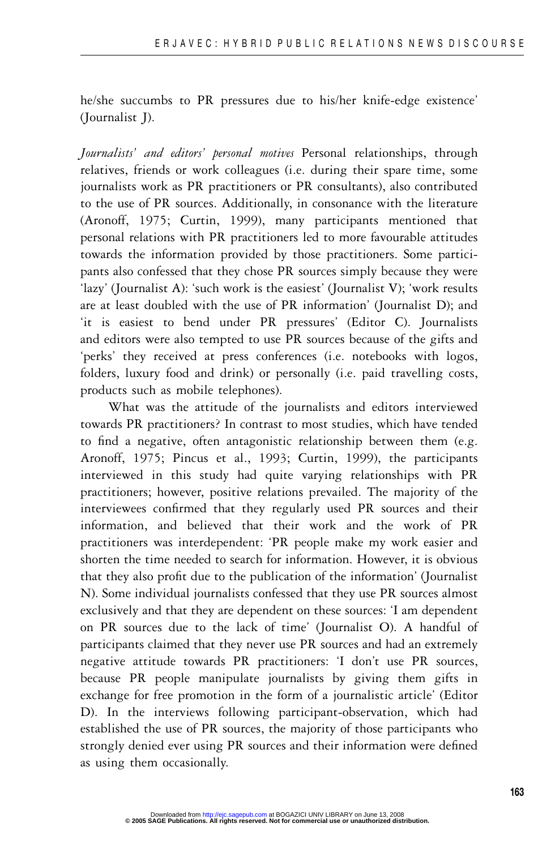he/she succumbs to PR pressures due to his/her knife-edge existence' (Journalist J).

*Journalists' and editors' personal motives* Personal relationships, through relatives, friends or work colleagues (i.e. during their spare time, some journalists work as PR practitioners or PR consultants), also contributed to the use of PR sources. Additionally, in consonance with the literature (Aronoff, 1975; Curtin, 1999), many participants mentioned that personal relations with PR practitioners led to more favourable attitudes towards the information provided by those practitioners. Some participants also confessed that they chose PR sources simply because they were 'lazy' (Journalist A): 'such work is the easiest' (Journalist V); 'work results are at least doubled with the use of PR information' (Journalist D); and 'it is easiest to bend under PR pressures' (Editor C). Journalists and editors were also tempted to use PR sources because of the gifts and 'perks' they received at press conferences (i.e. notebooks with logos, folders, luxury food and drink) or personally (i.e. paid travelling costs, products such as mobile telephones).

What was the attitude of the journalists and editors interviewed towards PR practitioners? In contrast to most studies, which have tended to find a negative, often antagonistic relationship between them (e.g. Aronoff, 1975; Pincus et al., 1993; Curtin, 1999), the participants interviewed in this study had quite varying relationships with PR practitioners; however, positive relations prevailed. The majority of the interviewees confirmed that they regularly used PR sources and their information, and believed that their work and the work of PR practitioners was interdependent: 'PR people make my work easier and shorten the time needed to search for information. However, it is obvious that they also profit due to the publication of the information' (Journalist N). Some individual journalists confessed that they use PR sources almost exclusively and that they are dependent on these sources: 'I am dependent on PR sources due to the lack of time' (Journalist O). A handful of participants claimed that they never use PR sources and had an extremely negative attitude towards PR practitioners: 'I don't use PR sources, because PR people manipulate journalists by giving them gifts in exchange for free promotion in the form of a journalistic article' (Editor D). In the interviews following participant-observation, which had established the use of PR sources, the majority of those participants who strongly denied ever using PR sources and their information were defined as using them occasionally.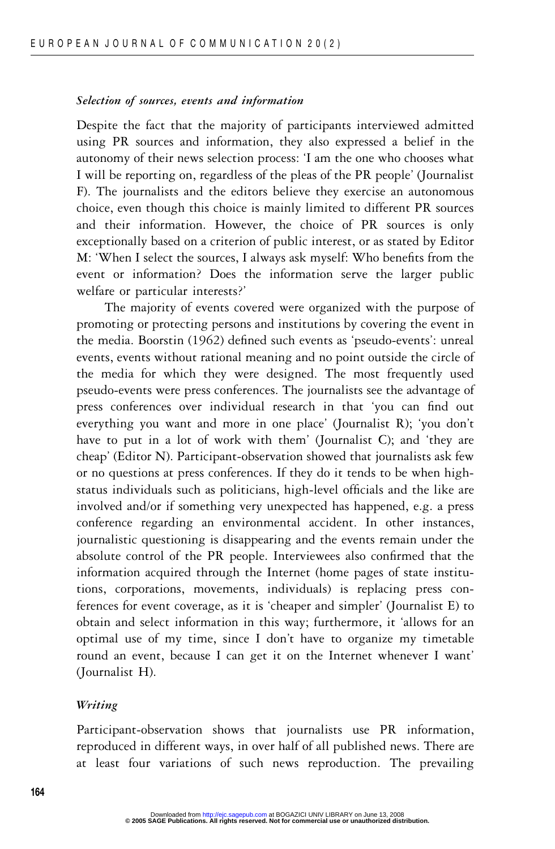#### *Selection of sources, events and information*

Despite the fact that the majority of participants interviewed admitted using PR sources and information, they also expressed a belief in the autonomy of their news selection process: 'I am the one who chooses what I will be reporting on, regardless of the pleas of the PR people' (Journalist F). The journalists and the editors believe they exercise an autonomous choice, even though this choice is mainly limited to different PR sources and their information. However, the choice of PR sources is only exceptionally based on a criterion of public interest, or as stated by Editor M: 'When I select the sources, I always ask myself: Who benefits from the event or information? Does the information serve the larger public welfare or particular interests?'

The majority of events covered were organized with the purpose of promoting or protecting persons and institutions by covering the event in the media. Boorstin (1962) defined such events as 'pseudo-events': unreal events, events without rational meaning and no point outside the circle of the media for which they were designed. The most frequently used pseudo-events were press conferences. The journalists see the advantage of press conferences over individual research in that 'you can find out everything you want and more in one place' (Journalist R); 'you don't have to put in a lot of work with them' (Journalist C); and 'they are cheap' (Editor N). Participant-observation showed that journalists ask few or no questions at press conferences. If they do it tends to be when highstatus individuals such as politicians, high-level officials and the like are involved and/or if something very unexpected has happened, e.g. a press conference regarding an environmental accident. In other instances, journalistic questioning is disappearing and the events remain under the absolute control of the PR people. Interviewees also confirmed that the information acquired through the Internet (home pages of state institutions, corporations, movements, individuals) is replacing press conferences for event coverage, as it is 'cheaper and simpler' (Journalist E) to obtain and select information in this way; furthermore, it 'allows for an optimal use of my time, since I don't have to organize my timetable round an event, because I can get it on the Internet whenever I want' (Journalist H).

#### *Writing*

Participant-observation shows that journalists use PR information, reproduced in different ways, in over half of all published news. There are at least four variations of such news reproduction. The prevailing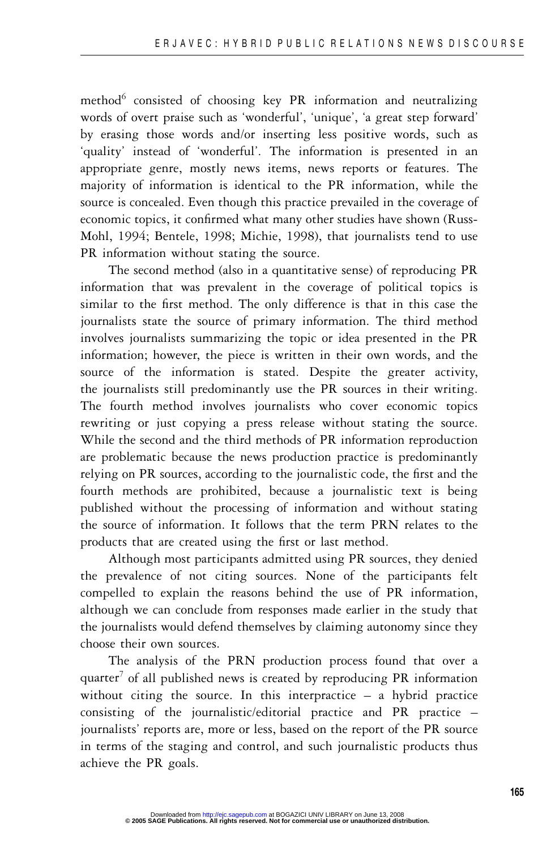method<sup>6</sup> consisted of choosing key PR information and neutralizing words of overt praise such as 'wonderful', 'unique', 'a great step forward' by erasing those words and/or inserting less positive words, such as 'quality' instead of 'wonderful'. The information is presented in an appropriate genre, mostly news items, news reports or features. The majority of information is identical to the PR information, while the source is concealed. Even though this practice prevailed in the coverage of economic topics, it confirmed what many other studies have shown (Russ-Mohl, 1994; Bentele, 1998; Michie, 1998), that journalists tend to use PR information without stating the source.

The second method (also in a quantitative sense) of reproducing PR information that was prevalent in the coverage of political topics is similar to the first method. The only difference is that in this case the journalists state the source of primary information. The third method involves journalists summarizing the topic or idea presented in the PR information; however, the piece is written in their own words, and the source of the information is stated. Despite the greater activity, the journalists still predominantly use the PR sources in their writing. The fourth method involves journalists who cover economic topics rewriting or just copying a press release without stating the source. While the second and the third methods of PR information reproduction are problematic because the news production practice is predominantly relying on PR sources, according to the journalistic code, the first and the fourth methods are prohibited, because a journalistic text is being published without the processing of information and without stating the source of information. It follows that the term PRN relates to the products that are created using the first or last method.

Although most participants admitted using PR sources, they denied the prevalence of not citing sources. None of the participants felt compelled to explain the reasons behind the use of PR information, although we can conclude from responses made earlier in the study that the journalists would defend themselves by claiming autonomy since they choose their own sources.

The analysis of the PRN production process found that over a quarter<sup>7</sup> of all published news is created by reproducing PR information without citing the source. In this interpractice – a hybrid practice consisting of the journalistic/editorial practice and PR practice – journalists' reports are, more or less, based on the report of the PR source in terms of the staging and control, and such journalistic products thus achieve the PR goals.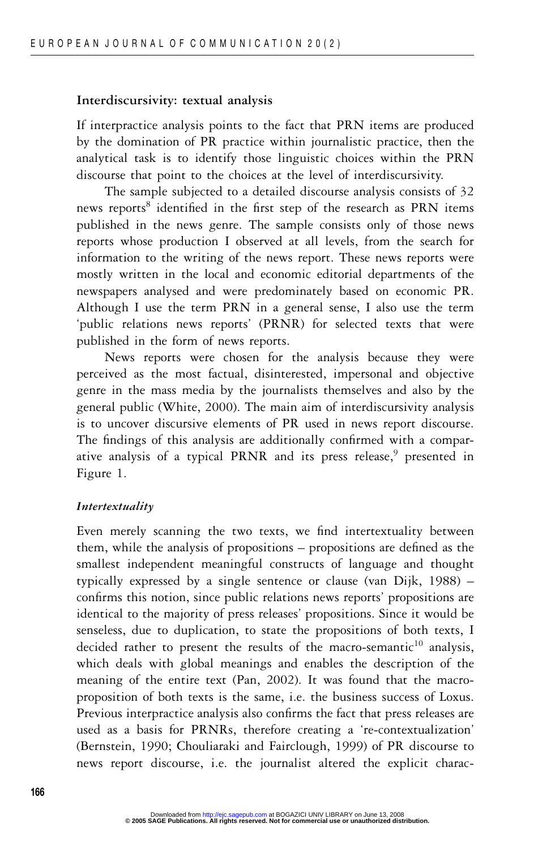#### **Interdiscursivity: textual analysis**

If interpractice analysis points to the fact that PRN items are produced by the domination of PR practice within journalistic practice, then the analytical task is to identify those linguistic choices within the PRN discourse that point to the choices at the level of interdiscursivity.

The sample subjected to a detailed discourse analysis consists of 32 news reports<sup>8</sup> identified in the first step of the research as PRN items published in the news genre. The sample consists only of those news reports whose production I observed at all levels, from the search for information to the writing of the news report. These news reports were mostly written in the local and economic editorial departments of the newspapers analysed and were predominately based on economic PR. Although I use the term PRN in a general sense, I also use the term 'public relations news reports' (PRNR) for selected texts that were published in the form of news reports.

News reports were chosen for the analysis because they were perceived as the most factual, disinterested, impersonal and objective genre in the mass media by the journalists themselves and also by the general public (White, 2000). The main aim of interdiscursivity analysis is to uncover discursive elements of PR used in news report discourse. The findings of this analysis are additionally confirmed with a comparative analysis of a typical PRNR and its press release, presented in Figure 1.

#### *Intertextuality*

Even merely scanning the two texts, we find intertextuality between them, while the analysis of propositions – propositions are defined as the smallest independent meaningful constructs of language and thought typically expressed by a single sentence or clause (van Dijk, 1988) – confirms this notion, since public relations news reports' propositions are identical to the majority of press releases' propositions. Since it would be senseless, due to duplication, to state the propositions of both texts, I decided rather to present the results of the macro-semantic $10$  analysis, which deals with global meanings and enables the description of the meaning of the entire text (Pan, 2002). It was found that the macroproposition of both texts is the same, i.e. the business success of Loxus. Previous interpractice analysis also confirms the fact that press releases are used as a basis for PRNRs, therefore creating a 're-contextualization' (Bernstein, 1990; Chouliaraki and Fairclough, 1999) of PR discourse to news report discourse, i.e. the journalist altered the explicit charac-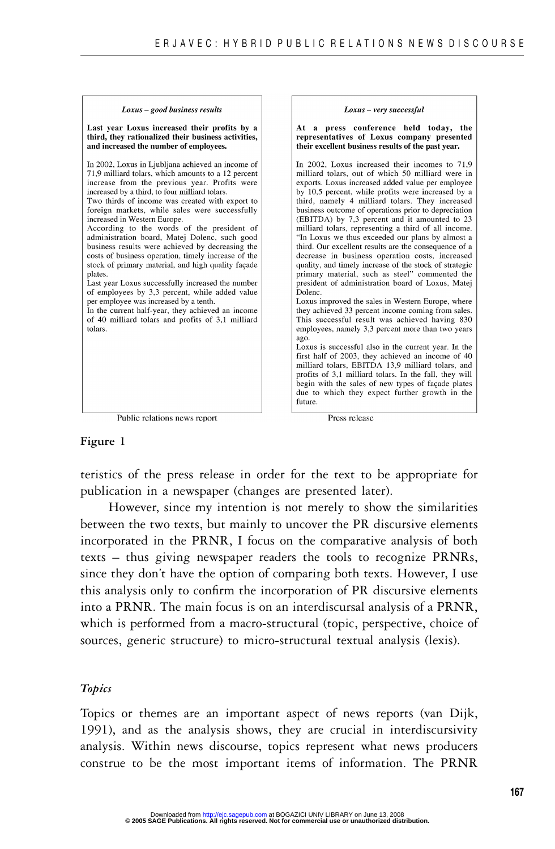

#### **Figure 1**

teristics of the press release in order for the text to be appropriate for publication in a newspaper (changes are presented later).

However, since my intention is not merely to show the similarities between the two texts, but mainly to uncover the PR discursive elements incorporated in the PRNR, I focus on the comparative analysis of both texts – thus giving newspaper readers the tools to recognize PRNRs, since they don't have the option of comparing both texts. However, I use this analysis only to confirm the incorporation of PR discursive elements into a PRNR. The main focus is on an interdiscursal analysis of a PRNR, which is performed from a macro-structural (topic, perspective, choice of sources, generic structure) to micro-structural textual analysis (lexis).

#### *Topics*

Topics or themes are an important aspect of news reports (van Dijk, 1991), and as the analysis shows, they are crucial in interdiscursivity analysis. Within news discourse, topics represent what news producers construe to be the most important items of information. The PRNR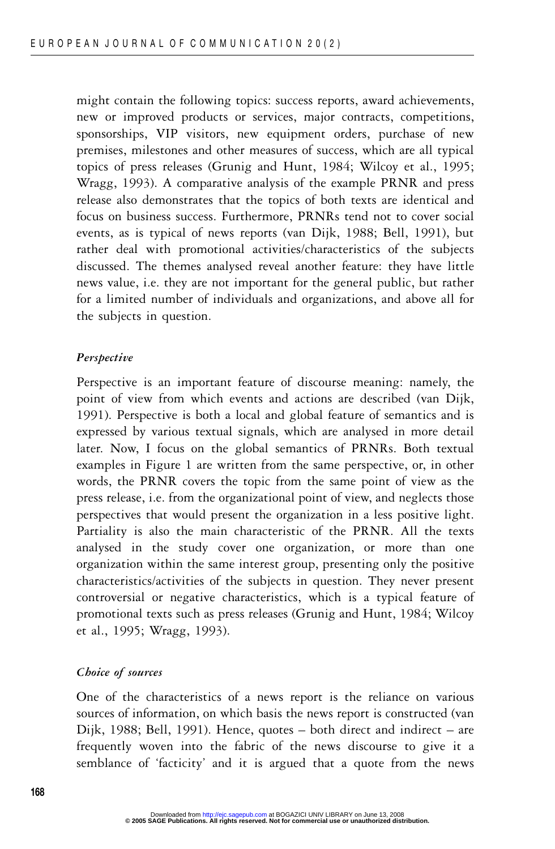might contain the following topics: success reports, award achievements, new or improved products or services, major contracts, competitions, sponsorships, VIP visitors, new equipment orders, purchase of new premises, milestones and other measures of success, which are all typical topics of press releases (Grunig and Hunt, 1984; Wilcoy et al., 1995; Wragg, 1993). A comparative analysis of the example PRNR and press release also demonstrates that the topics of both texts are identical and focus on business success. Furthermore, PRNRs tend not to cover social events, as is typical of news reports (van Dijk, 1988; Bell, 1991), but rather deal with promotional activities/characteristics of the subjects discussed. The themes analysed reveal another feature: they have little news value, i.e. they are not important for the general public, but rather for a limited number of individuals and organizations, and above all for the subjects in question.

#### *Perspective*

Perspective is an important feature of discourse meaning: namely, the point of view from which events and actions are described (van Dijk, 1991). Perspective is both a local and global feature of semantics and is expressed by various textual signals, which are analysed in more detail later. Now, I focus on the global semantics of PRNRs. Both textual examples in Figure 1 are written from the same perspective, or, in other words, the PRNR covers the topic from the same point of view as the press release, i.e. from the organizational point of view, and neglects those perspectives that would present the organization in a less positive light. Partiality is also the main characteristic of the PRNR. All the texts analysed in the study cover one organization, or more than one organization within the same interest group, presenting only the positive characteristics/activities of the subjects in question. They never present controversial or negative characteristics, which is a typical feature of promotional texts such as press releases (Grunig and Hunt, 1984; Wilcoy et al., 1995; Wragg, 1993).

# *Choice of sources*

One of the characteristics of a news report is the reliance on various sources of information, on which basis the news report is constructed (van Dijk, 1988; Bell, 1991). Hence, quotes – both direct and indirect – are frequently woven into the fabric of the news discourse to give it a semblance of 'facticity' and it is argued that a quote from the news

**<sup>© 2005</sup> SAGE Publications. All rights reserved. Not for commercial use or unauthorized distribution.** Downloaded from<http://ejc.sagepub.com>at BOGAZICI UNIV LIBRARY on June 13, 2008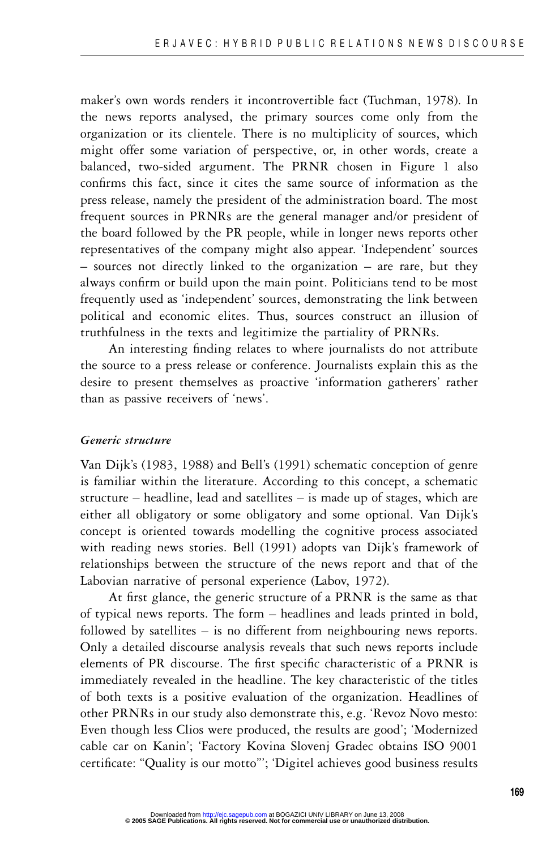maker's own words renders it incontrovertible fact (Tuchman, 1978). In the news reports analysed, the primary sources come only from the organization or its clientele. There is no multiplicity of sources, which might offer some variation of perspective, or, in other words, create a balanced, two-sided argument. The PRNR chosen in Figure 1 also confirms this fact, since it cites the same source of information as the press release, namely the president of the administration board. The most frequent sources in PRNRs are the general manager and/or president of the board followed by the PR people, while in longer news reports other representatives of the company might also appear. 'Independent' sources – sources not directly linked to the organization – are rare, but they always confirm or build upon the main point. Politicians tend to be most frequently used as 'independent' sources, demonstrating the link between political and economic elites. Thus, sources construct an illusion of truthfulness in the texts and legitimize the partiality of PRNRs.

An interesting finding relates to where journalists do not attribute the source to a press release or conference. Journalists explain this as the desire to present themselves as proactive 'information gatherers' rather than as passive receivers of 'news'.

#### *Generic structure*

Van Dijk's (1983, 1988) and Bell's (1991) schematic conception of genre is familiar within the literature. According to this concept, a schematic structure – headline, lead and satellites – is made up of stages, which are either all obligatory or some obligatory and some optional. Van Dijk's concept is oriented towards modelling the cognitive process associated with reading news stories. Bell (1991) adopts van Dijk's framework of relationships between the structure of the news report and that of the Labovian narrative of personal experience (Labov, 1972).

At first glance, the generic structure of a PRNR is the same as that of typical news reports. The form – headlines and leads printed in bold, followed by satellites – is no different from neighbouring news reports. Only a detailed discourse analysis reveals that such news reports include elements of PR discourse. The first specific characteristic of a PRNR is immediately revealed in the headline. The key characteristic of the titles of both texts is a positive evaluation of the organization. Headlines of other PRNRs in our study also demonstrate this, e.g. 'Revoz Novo mesto: Even though less Clios were produced, the results are good'; 'Modernized cable car on Kanin'; 'Factory Kovina Slovenj Gradec obtains ISO 9001 certificate: "Quality is our motto"'; 'Digitel achieves good business results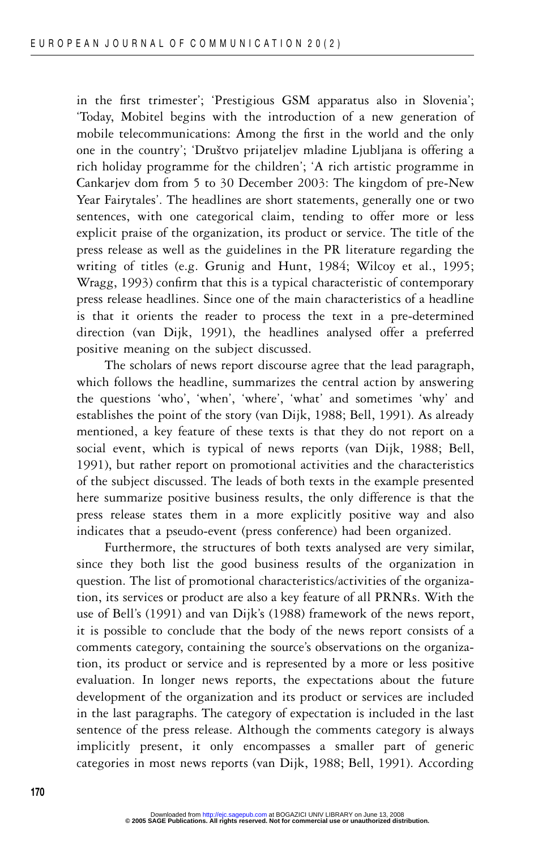in the first trimester'; 'Prestigious GSM apparatus also in Slovenia'; 'Today, Mobitel begins with the introduction of a new generation of mobile telecommunications: Among the first in the world and the only one in the country'; 'Društvo prijateljev mladine Ljubljana is offering a rich holiday programme for the children'; 'A rich artistic programme in Cankarjev dom from 5 to 30 December 2003: The kingdom of pre-New Year Fairytales'. The headlines are short statements, generally one or two sentences, with one categorical claim, tending to offer more or less explicit praise of the organization, its product or service. The title of the press release as well as the guidelines in the PR literature regarding the writing of titles (e.g. Grunig and Hunt, 1984; Wilcoy et al., 1995; Wragg, 1993) confirm that this is a typical characteristic of contemporary press release headlines. Since one of the main characteristics of a headline is that it orients the reader to process the text in a pre-determined direction (van Dijk, 1991), the headlines analysed offer a preferred positive meaning on the subject discussed.

The scholars of news report discourse agree that the lead paragraph, which follows the headline, summarizes the central action by answering the questions 'who', 'when', 'where', 'what' and sometimes 'why' and establishes the point of the story (van Dijk, 1988; Bell, 1991). As already mentioned, a key feature of these texts is that they do not report on a social event, which is typical of news reports (van Dijk, 1988; Bell, 1991), but rather report on promotional activities and the characteristics of the subject discussed. The leads of both texts in the example presented here summarize positive business results, the only difference is that the press release states them in a more explicitly positive way and also indicates that a pseudo-event (press conference) had been organized.

Furthermore, the structures of both texts analysed are very similar, since they both list the good business results of the organization in question. The list of promotional characteristics/activities of the organization, its services or product are also a key feature of all PRNRs. With the use of Bell's (1991) and van Dijk's (1988) framework of the news report, it is possible to conclude that the body of the news report consists of a comments category, containing the source's observations on the organization, its product or service and is represented by a more or less positive evaluation. In longer news reports, the expectations about the future development of the organization and its product or services are included in the last paragraphs. The category of expectation is included in the last sentence of the press release. Although the comments category is always implicitly present, it only encompasses a smaller part of generic categories in most news reports (van Dijk, 1988; Bell, 1991). According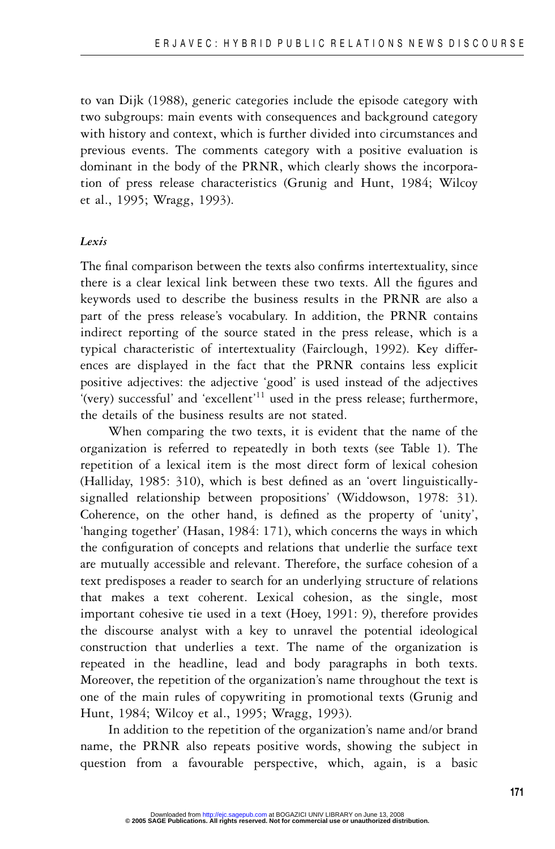to van Dijk (1988), generic categories include the episode category with two subgroups: main events with consequences and background category with history and context, which is further divided into circumstances and previous events. The comments category with a positive evaluation is dominant in the body of the PRNR, which clearly shows the incorporation of press release characteristics (Grunig and Hunt, 1984; Wilcoy et al., 1995; Wragg, 1993).

#### *Lexis*

The final comparison between the texts also confirms intertextuality, since there is a clear lexical link between these two texts. All the figures and keywords used to describe the business results in the PRNR are also a part of the press release's vocabulary. In addition, the PRNR contains indirect reporting of the source stated in the press release, which is a typical characteristic of intertextuality (Fairclough, 1992). Key differences are displayed in the fact that the PRNR contains less explicit positive adjectives: the adjective 'good' is used instead of the adjectives '(very) successful' and 'excellent'<sup>11</sup> used in the press release; furthermore, the details of the business results are not stated.

When comparing the two texts, it is evident that the name of the organization is referred to repeatedly in both texts (see Table 1). The repetition of a lexical item is the most direct form of lexical cohesion (Halliday, 1985: 310), which is best defined as an 'overt linguisticallysignalled relationship between propositions' (Widdowson, 1978: 31). Coherence, on the other hand, is defined as the property of 'unity', 'hanging together' (Hasan, 1984: 171), which concerns the ways in which the configuration of concepts and relations that underlie the surface text are mutually accessible and relevant. Therefore, the surface cohesion of a text predisposes a reader to search for an underlying structure of relations that makes a text coherent. Lexical cohesion, as the single, most important cohesive tie used in a text (Hoey, 1991: 9), therefore provides the discourse analyst with a key to unravel the potential ideological construction that underlies a text. The name of the organization is repeated in the headline, lead and body paragraphs in both texts. Moreover, the repetition of the organization's name throughout the text is one of the main rules of copywriting in promotional texts (Grunig and Hunt, 1984; Wilcoy et al., 1995; Wragg, 1993).

In addition to the repetition of the organization's name and/or brand name, the PRNR also repeats positive words, showing the subject in question from a favourable perspective, which, again, is a basic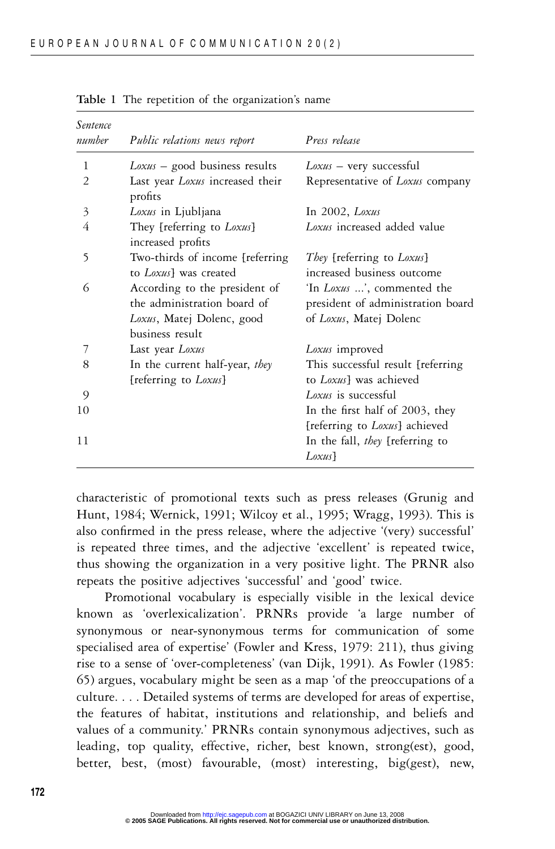| Sentence<br>number | Public relations news report                                                                                 | Press release                                                                                    |
|--------------------|--------------------------------------------------------------------------------------------------------------|--------------------------------------------------------------------------------------------------|
| 1                  | $Loxus$ – good business results                                                                              | $Loxus - very$ successful                                                                        |
| 2                  | Last year <i>Loxus</i> increased their<br>profits                                                            | Representative of Loxus company                                                                  |
| 3                  | Loxus in Ljubljana                                                                                           | In 2002, Loxus                                                                                   |
| 4                  | They [referring to Loxus]<br>increased profits                                                               | Loxus increased added value                                                                      |
| 5                  | Two-thirds of income [referring]<br>to Loxus was created                                                     | <i>They</i> [referring to <i>Loxus</i> ]<br>increased business outcome                           |
| 6                  | According to the president of<br>the administration board of<br>Loxus, Matej Dolenc, good<br>business result | 'In <i>Loxus</i> ', commented the<br>president of administration board<br>of Loxus, Matej Dolenc |
| 7                  | Last year Loxus                                                                                              | Loxus improved                                                                                   |
| 8                  | In the current half-year, they<br>[referring to Loxus]                                                       | This successful result [referring]<br>to Loxus] was achieved                                     |
| 9                  |                                                                                                              | Loxus is successful                                                                              |
| 10                 |                                                                                                              | In the first half of 2003, they<br>[referring to <i>Loxus</i> ] achieved                         |
| 11                 |                                                                                                              | In the fall, they [referring to<br>Loxus]                                                        |

**Table 1** The repetition of the organization's name

characteristic of promotional texts such as press releases (Grunig and Hunt, 1984; Wernick, 1991; Wilcoy et al., 1995; Wragg, 1993). This is also confirmed in the press release, where the adjective '(very) successful' is repeated three times, and the adjective 'excellent' is repeated twice, thus showing the organization in a very positive light. The PRNR also repeats the positive adjectives 'successful' and 'good' twice.

Promotional vocabulary is especially visible in the lexical device known as 'overlexicalization'. PRNRs provide 'a large number of synonymous or near-synonymous terms for communication of some specialised area of expertise' (Fowler and Kress, 1979: 211), thus giving rise to a sense of 'over-completeness' (van Dijk, 1991). As Fowler (1985: 65) argues, vocabulary might be seen as a map 'of the preoccupations of a culture. . . . Detailed systems of terms are developed for areas of expertise, the features of habitat, institutions and relationship, and beliefs and values of a community.' PRNRs contain synonymous adjectives, such as leading, top quality, effective, richer, best known, strong(est), good, better, best, (most) favourable, (most) interesting, big(gest), new,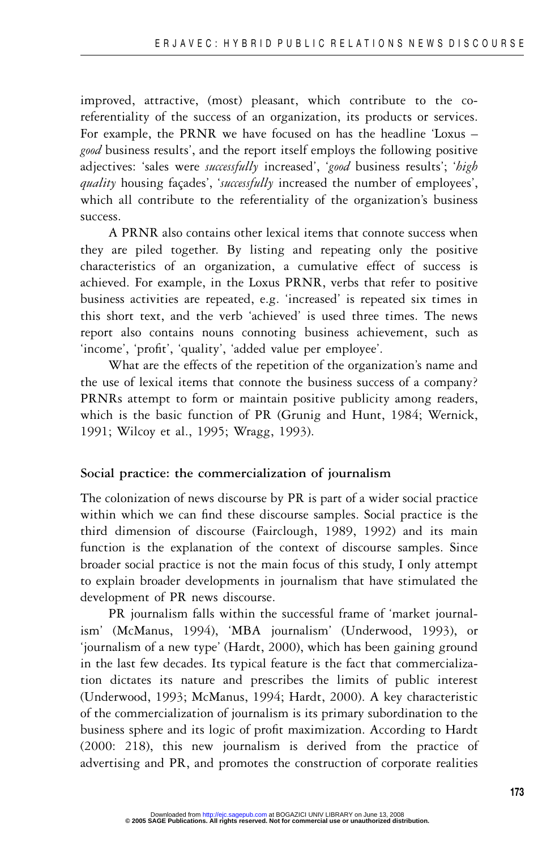improved, attractive, (most) pleasant, which contribute to the coreferentiality of the success of an organization, its products or services. For example, the PRNR we have focused on has the headline 'Loxus – *good* business results', and the report itself employs the following positive adjectives: 'sales were *successfully* increased', '*good* business results'; '*high quality* housing façades', '*successfully* increased the number of employees', which all contribute to the referentiality of the organization's business success.

A PRNR also contains other lexical items that connote success when they are piled together. By listing and repeating only the positive characteristics of an organization, a cumulative effect of success is achieved. For example, in the Loxus PRNR, verbs that refer to positive business activities are repeated, e.g. 'increased' is repeated six times in this short text, and the verb 'achieved' is used three times. The news report also contains nouns connoting business achievement, such as 'income', 'profit', 'quality', 'added value per employee'.

What are the effects of the repetition of the organization's name and the use of lexical items that connote the business success of a company? PRNRs attempt to form or maintain positive publicity among readers, which is the basic function of PR (Grunig and Hunt, 1984; Wernick, 1991; Wilcoy et al., 1995; Wragg, 1993).

# **Social practice: the commercialization of journalism**

The colonization of news discourse by PR is part of a wider social practice within which we can find these discourse samples. Social practice is the third dimension of discourse (Fairclough, 1989, 1992) and its main function is the explanation of the context of discourse samples. Since broader social practice is not the main focus of this study, I only attempt to explain broader developments in journalism that have stimulated the development of PR news discourse.

PR journalism falls within the successful frame of 'market journalism' (McManus, 1994), 'MBA journalism' (Underwood, 1993), or 'journalism of a new type' (Hardt, 2000), which has been gaining ground in the last few decades. Its typical feature is the fact that commercialization dictates its nature and prescribes the limits of public interest (Underwood, 1993; McManus, 1994; Hardt, 2000). A key characteristic of the commercialization of journalism is its primary subordination to the business sphere and its logic of profit maximization. According to Hardt (2000: 218), this new journalism is derived from the practice of advertising and PR, and promotes the construction of corporate realities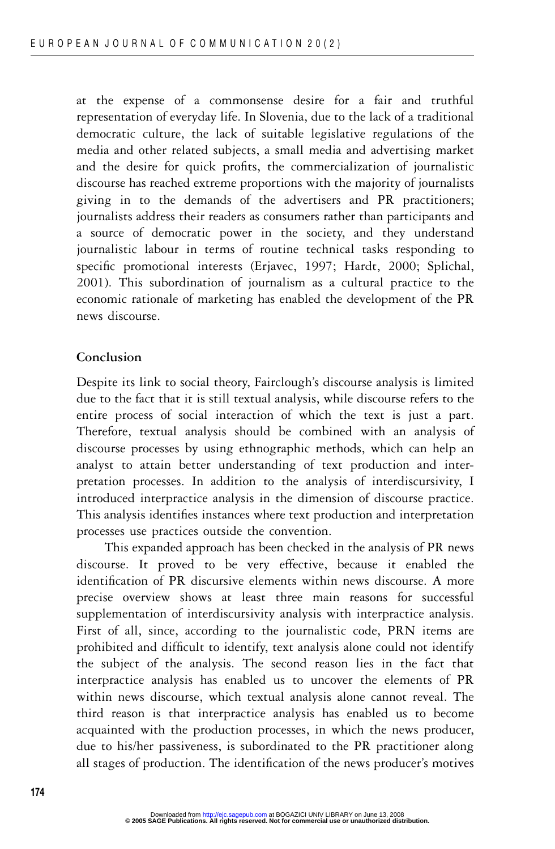at the expense of a commonsense desire for a fair and truthful representation of everyday life. In Slovenia, due to the lack of a traditional democratic culture, the lack of suitable legislative regulations of the media and other related subjects, a small media and advertising market and the desire for quick profits, the commercialization of journalistic discourse has reached extreme proportions with the majority of journalists giving in to the demands of the advertisers and PR practitioners; journalists address their readers as consumers rather than participants and a source of democratic power in the society, and they understand journalistic labour in terms of routine technical tasks responding to specific promotional interests (Erjavec, 1997; Hardt, 2000; Splichal, 2001). This subordination of journalism as a cultural practice to the economic rationale of marketing has enabled the development of the PR news discourse.

# **Conclusion**

Despite its link to social theory, Fairclough's discourse analysis is limited due to the fact that it is still textual analysis, while discourse refers to the entire process of social interaction of which the text is just a part. Therefore, textual analysis should be combined with an analysis of discourse processes by using ethnographic methods, which can help an analyst to attain better understanding of text production and interpretation processes. In addition to the analysis of interdiscursivity, I introduced interpractice analysis in the dimension of discourse practice. This analysis identifies instances where text production and interpretation processes use practices outside the convention.

This expanded approach has been checked in the analysis of PR news discourse. It proved to be very effective, because it enabled the identification of PR discursive elements within news discourse. A more precise overview shows at least three main reasons for successful supplementation of interdiscursivity analysis with interpractice analysis. First of all, since, according to the journalistic code, PRN items are prohibited and difficult to identify, text analysis alone could not identify the subject of the analysis. The second reason lies in the fact that interpractice analysis has enabled us to uncover the elements of PR within news discourse, which textual analysis alone cannot reveal. The third reason is that interpractice analysis has enabled us to become acquainted with the production processes, in which the news producer, due to his/her passiveness, is subordinated to the PR practitioner along all stages of production. The identification of the news producer's motives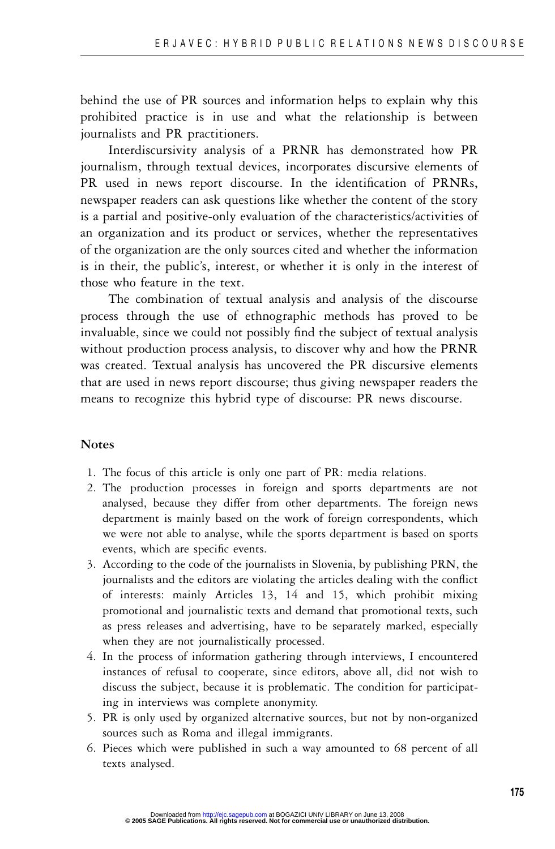behind the use of PR sources and information helps to explain why this prohibited practice is in use and what the relationship is between journalists and PR practitioners.

Interdiscursivity analysis of a PRNR has demonstrated how PR journalism, through textual devices, incorporates discursive elements of PR used in news report discourse. In the identification of PRNRs, newspaper readers can ask questions like whether the content of the story is a partial and positive-only evaluation of the characteristics/activities of an organization and its product or services, whether the representatives of the organization are the only sources cited and whether the information is in their, the public's, interest, or whether it is only in the interest of those who feature in the text.

The combination of textual analysis and analysis of the discourse process through the use of ethnographic methods has proved to be invaluable, since we could not possibly find the subject of textual analysis without production process analysis, to discover why and how the PRNR was created. Textual analysis has uncovered the PR discursive elements that are used in news report discourse; thus giving newspaper readers the means to recognize this hybrid type of discourse: PR news discourse.

# **Notes**

- 1. The focus of this article is only one part of PR: media relations.
- 2. The production processes in foreign and sports departments are not analysed, because they differ from other departments. The foreign news department is mainly based on the work of foreign correspondents, which we were not able to analyse, while the sports department is based on sports events, which are specific events.
- 3. According to the code of the journalists in Slovenia, by publishing PRN, the journalists and the editors are violating the articles dealing with the conflict of interests: mainly Articles 13, 14 and 15, which prohibit mixing promotional and journalistic texts and demand that promotional texts, such as press releases and advertising, have to be separately marked, especially when they are not journalistically processed.
- 4. In the process of information gathering through interviews, I encountered instances of refusal to cooperate, since editors, above all, did not wish to discuss the subject, because it is problematic. The condition for participating in interviews was complete anonymity.
- 5. PR is only used by organized alternative sources, but not by non-organized sources such as Roma and illegal immigrants.
- 6. Pieces which were published in such a way amounted to 68 percent of all texts analysed.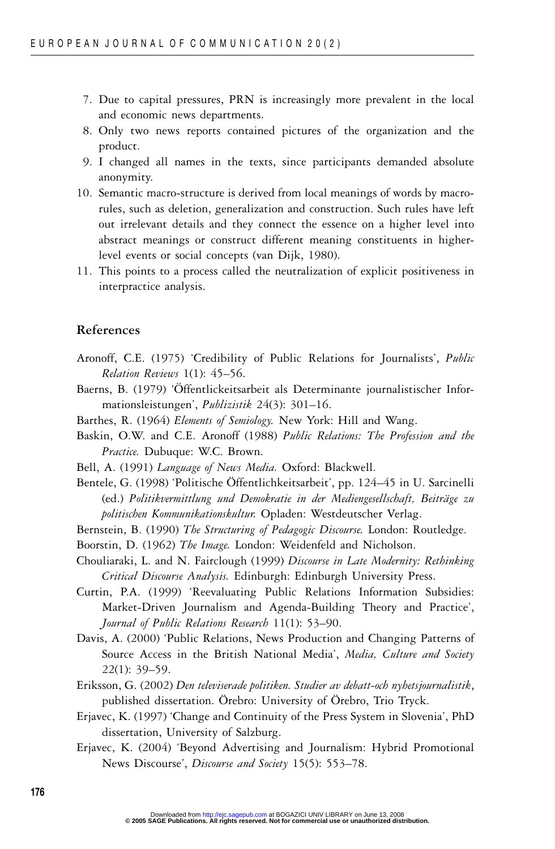- 7. Due to capital pressures, PRN is increasingly more prevalent in the local and economic news departments.
- 8. Only two news reports contained pictures of the organization and the product.
- 9. I changed all names in the texts, since participants demanded absolute anonymity.
- 10. Semantic macro-structure is derived from local meanings of words by macrorules, such as deletion, generalization and construction. Such rules have left out irrelevant details and they connect the essence on a higher level into abstract meanings or construct different meaning constituents in higherlevel events or social concepts (van Dijk, 1980).
- 11. This points to a process called the neutralization of explicit positiveness in interpractice analysis.

#### **References**

- Aronoff, C.E. (1975) 'Credibility of Public Relations for Journalists', *Public Relation Reviews* 1(1): 45–56.
- Baerns, B. (1979) 'Öffentlickeitsarbeit als Determinante journalistischer Informationsleistungen', *Publizistik* 24(3): 301–16.
- Barthes, R. (1964) *Elements of Semiology.* New York: Hill and Wang.
- Baskin, O.W. and C.E. Aronoff (1988) *Public Relations: The Profession and the Practice.* Dubuque: W.C. Brown.
- Bell, A. (1991) *Language of News Media.* Oxford: Blackwell.
- Bentele, G. (1998) 'Politische Öffentlichkeitsarbeit', pp. 124–45 in U. Sarcinelli (ed.) *Politikvermittlung und Demokratie in der Mediengesellschaft, Beitrage zu ¨ politischen Kommunikationskultur.* Opladen: Westdeutscher Verlag.
- Bernstein, B. (1990) *The Structuring of Pedagogic Discourse.* London: Routledge.
- Boorstin, D. (1962) *The Image.* London: Weidenfeld and Nicholson.
- Chouliaraki, L. and N. Fairclough (1999) *Discourse in Late Modernity: Rethinking Critical Discourse Analysis.* Edinburgh: Edinburgh University Press.
- Curtin, P.A. (1999) 'Reevaluating Public Relations Information Subsidies: Market-Driven Journalism and Agenda-Building Theory and Practice', *Journal of Public Relations Research* 11(1): 53–90.
- Davis, A. (2000) 'Public Relations, News Production and Changing Patterns of Source Access in the British National Media', *Media, Culture and Society* 22(1): 39–59.
- Eriksson, G. (2002) *Den televiserade politiken. Studier av debatt-och nyhetsjournalistik*, published dissertation. Örebro: University of Örebro, Trio Tryck.
- Erjavec, K. (1997) 'Change and Continuity of the Press System in Slovenia', PhD dissertation, University of Salzburg.
- Erjavec, K. (2004) 'Beyond Advertising and Journalism: Hybrid Promotional News Discourse', *Discourse and Society* 15(5): 553–78.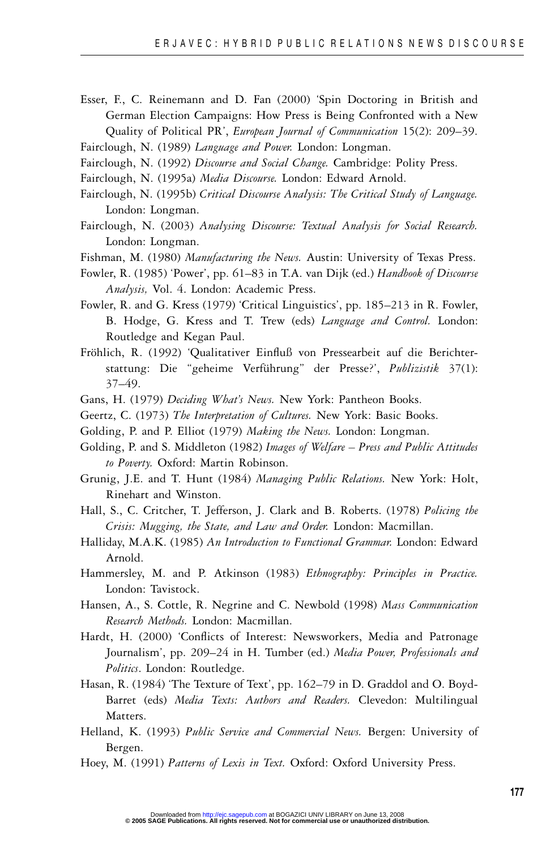- Esser, F., C. Reinemann and D. Fan (2000) 'Spin Doctoring in British and German Election Campaigns: How Press is Being Confronted with a New Quality of Political PR', *European Journal of Communication* 15(2): 209–39.
- Fairclough, N. (1989) *Language and Power.* London: Longman.
- Fairclough, N. (1992) *Discourse and Social Change.* Cambridge: Polity Press.
- Fairclough, N. (1995a) *Media Discourse.* London: Edward Arnold.
- Fairclough, N. (1995b) *Critical Discourse Analysis: The Critical Study of Language.* London: Longman.
- Fairclough, N. (2003) *Analysing Discourse: Textual Analysis for Social Research.* London: Longman.
- Fishman, M. (1980) *Manufacturing the News.* Austin: University of Texas Press.
- Fowler, R. (1985) 'Power', pp. 61–83 in T.A. van Dijk (ed.) *Handbook of Discourse Analysis,* Vol. 4. London: Academic Press.
- Fowler, R. and G. Kress (1979) 'Critical Linguistics', pp. 185–213 in R. Fowler, B. Hodge, G. Kress and T. Trew (eds) *Language and Control.* London: Routledge and Kegan Paul.
- Fröhlich, R. (1992) 'Qualitativer Einfluß von Pressearbeit auf die Berichterstattung: Die "geheime Verführung" der Presse?', Publizistik 37(1): 37–49.
- Gans, H. (1979) *Deciding What's News.* New York: Pantheon Books.
- Geertz, C. (1973) *The Interpretation of Cultures.* New York: Basic Books.
- Golding, P. and P. Elliot (1979) *Making the News.* London: Longman.
- Golding, P. and S. Middleton (1982) *Images of Welfare Press and Public Attitudes to Poverty.* Oxford: Martin Robinson.
- Grunig, J.E. and T. Hunt (1984) *Managing Public Relations.* New York: Holt, Rinehart and Winston.
- Hall, S., C. Critcher, T. Jefferson, J. Clark and B. Roberts. (1978) *Policing the Crisis: Mugging, the State, and Law and Order.* London: Macmillan.
- Halliday, M.A.K. (1985) *An Introduction to Functional Grammar.* London: Edward Arnold.
- Hammersley, M. and P. Atkinson (1983) *Ethnography: Principles in Practice.* London: Tavistock.
- Hansen, A., S. Cottle, R. Negrine and C. Newbold (1998) *Mass Communication Research Methods.* London: Macmillan.
- Hardt, H. (2000) 'Conflicts of Interest: Newsworkers, Media and Patronage Journalism', pp. 209–24 in H. Tumber (ed.) *Media Power, Professionals and Politics*. London: Routledge.
- Hasan, R. (1984) 'The Texture of Text', pp. 162–79 in D. Graddol and O. Boyd-Barret (eds) *Media Texts: Authors and Readers.* Clevedon: Multilingual Matters.
- Helland, K. (1993) *Public Service and Commercial News.* Bergen: University of Bergen.
- Hoey, M. (1991) *Patterns of Lexis in Text.* Oxford: Oxford University Press.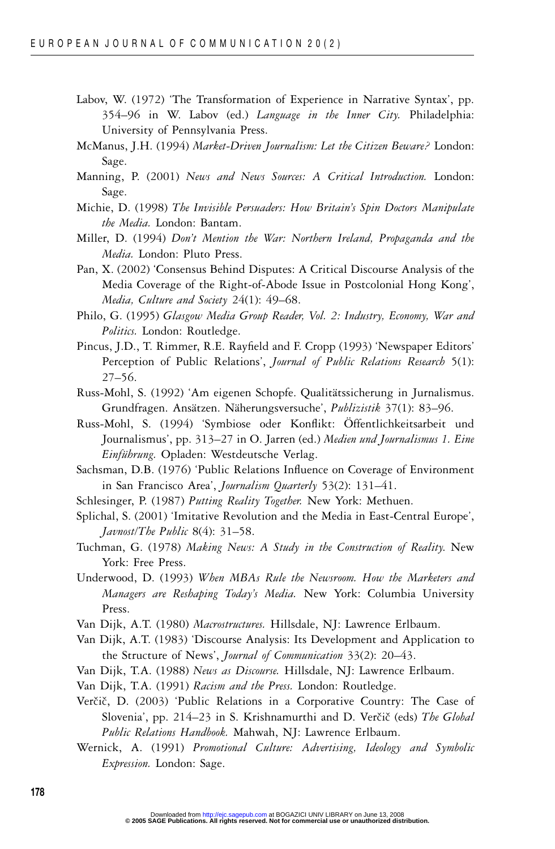- Labov, W. (1972) 'The Transformation of Experience in Narrative Syntax', pp. 354–96 in W. Labov (ed.) *Language in the Inner City.* Philadelphia: University of Pennsylvania Press.
- McManus, J.H. (1994) *Market-Driven Journalism: Let the Citizen Beware?* London: Sage.
- Manning, P. (2001) *News and News Sources: A Critical Introduction.* London: Sage.
- Michie, D. (1998) *The Invisible Persuaders: How Britain's Spin Doctors Manipulate the Media.* London: Bantam.
- Miller, D. (1994) *Don't Mention the War: Northern Ireland, Propaganda and the Media.* London: Pluto Press.
- Pan, X. (2002) 'Consensus Behind Disputes: A Critical Discourse Analysis of the Media Coverage of the Right-of-Abode Issue in Postcolonial Hong Kong', *Media, Culture and Society* 24(1): 49–68.
- Philo, G. (1995) *Glasgow Media Group Reader, Vol. 2: Industry, Economy, War and Politics.* London: Routledge.
- Pincus, J.D., T. Rimmer, R.E. Rayfield and F. Cropp (1993) 'Newspaper Editors' Perception of Public Relations', *Journal of Public Relations Research* 5(1): 27–56.
- Russ-Mohl, S. (1992) 'Am eigenen Schopfe. Qualitätssicherung in Jurnalismus. Grundfragen. Ansätzen. Näherungsversuche', Publizistik 37(1): 83-96.
- Russ-Mohl, S. (1994) 'Symbiose oder Konflikt: Offentlichkeitsarbeit und ¨ Journalismus', pp. 313–27 in O. Jarren (ed.) *Medien und Journalismus 1. Eine* Einführung. Opladen: Westdeutsche Verlag.
- Sachsman, D.B. (1976) 'Public Relations Influence on Coverage of Environment in San Francisco Area', *Journalism Quarterly* 53(2): 131–41.
- Schlesinger, P. (1987) *Putting Reality Together.* New York: Methuen.
- Splichal, S. (2001) 'Imitative Revolution and the Media in East-Central Europe', *Javnost/The Public* 8(4): 31–58.
- Tuchman, G. (1978) *Making News: A Study in the Construction of Reality*. New York: Free Press.
- Underwood, D. (1993) *When MBAs Rule the Newsroom. How the Marketers and Managers are Reshaping Today's Media.* New York: Columbia University Press.
- Van Dijk, A.T. (1980) *Macrostructures.* Hillsdale, NJ: Lawrence Erlbaum.
- Van Dijk, A.T. (1983) 'Discourse Analysis: Its Development and Application to the Structure of News', *Journal of Communication* 33(2): 20–43.
- Van Dijk, T.A. (1988) *News as Discourse.* Hillsdale, NJ: Lawrence Erlbaum.
- Van Dijk, T.A. (1991) *Racism and the Press.* London: Routledge.
- Verčič, D. (2003) 'Public Relations in a Corporative Country: The Case of Slovenia', pp. 214–23 in S. Krishnamurthi and D. Verčič (eds) The Global *Public Relations Handbook.* Mahwah, NJ: Lawrence Erlbaum.
- Wernick, A. (1991) *Promotional Culture: Advertising, Ideology and Symbolic Expression.* London: Sage.